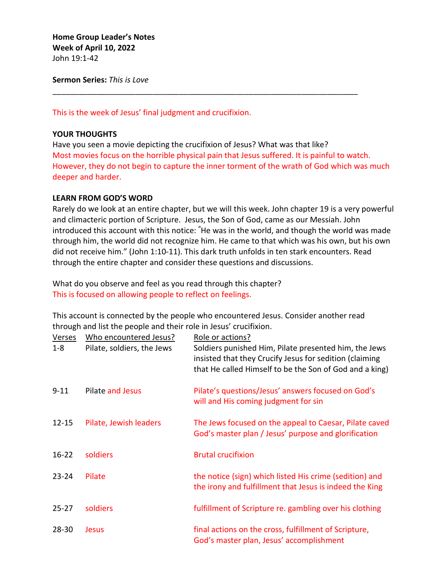**Home Group Leader's Notes Week of April 10, 2022** John 19:1-42

**Sermon Series:** *This is Love*

This is the week of Jesus' final judgment and crucifixion.

# **YOUR THOUGHTS**

Have you seen a movie depicting the crucifixion of Jesus? What was that like? Most movies focus on the horrible physical pain that Jesus suffered. It is painful to watch. However, they do not begin to capture the inner torment of the wrath of God which was much deeper and harder.

\_\_\_\_\_\_\_\_\_\_\_\_\_\_\_\_\_\_\_\_\_\_\_\_\_\_\_\_\_\_\_\_\_\_\_\_\_\_\_\_\_\_\_\_\_\_\_\_\_\_\_\_\_\_\_\_\_\_\_\_\_\_\_\_\_\_\_\_\_\_

# **LEARN FROM GOD'S WORD**

Rarely do we look at an entire chapter, but we will this week. John chapter 19 is a very powerful and climacteric portion of Scripture. Jesus, the Son of God, came as our Messiah. John introduced this account with this notice: **"** He was in the world, and though the world was made through him, the world did not recognize him. He came to that which was his own, but his own did not receive him." (John 1:10-11). This dark truth unfolds in ten stark encounters. Read through the entire chapter and consider these questions and discussions.

What do you observe and feel as you read through this chapter? This is focused on allowing people to reflect on feelings.

This account is connected by the people who encountered Jesus. Consider another read through and list the people and their role in Jesus' crucifixion.

| <b>Verses</b><br>$1 - 8$ | Who encountered Jesus?<br>Pilate, soldiers, the Jews | Role or actions?<br>Soldiers punished Him, Pilate presented him, the Jews<br>insisted that they Crucify Jesus for sedition (claiming<br>that He called Himself to be the Son of God and a king) |
|--------------------------|------------------------------------------------------|-------------------------------------------------------------------------------------------------------------------------------------------------------------------------------------------------|
| $9 - 11$                 | <b>Pilate and Jesus</b>                              | Pilate's questions/Jesus' answers focused on God's<br>will and His coming judgment for sin                                                                                                      |
| $12 - 15$                | Pilate, Jewish leaders                               | The Jews focused on the appeal to Caesar, Pilate caved<br>God's master plan / Jesus' purpose and glorification                                                                                  |
| $16 - 22$                | soldiers                                             | <b>Brutal crucifixion</b>                                                                                                                                                                       |
| $23 - 24$                | Pilate                                               | the notice (sign) which listed His crime (sedition) and<br>the irony and fulfillment that Jesus is indeed the King                                                                              |
| $25 - 27$                | soldiers                                             | fulfillment of Scripture re. gambling over his clothing                                                                                                                                         |
| $28 - 30$                | <b>Jesus</b>                                         | final actions on the cross, fulfillment of Scripture,<br>God's master plan, Jesus' accomplishment                                                                                               |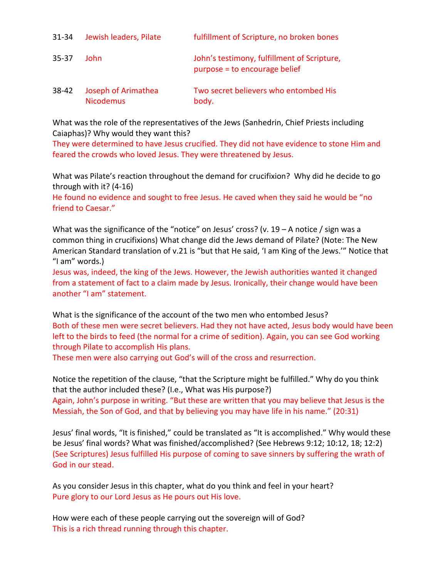| $31 - 34$ | Jewish leaders, Pilate                  | fulfillment of Scripture, no broken bones                                    |
|-----------|-----------------------------------------|------------------------------------------------------------------------------|
| $35 - 37$ | John.                                   | John's testimony, fulfillment of Scripture,<br>purpose = to encourage belief |
| $38 - 42$ | Joseph of Arimathea<br><b>Nicodemus</b> | Two secret believers who entombed His<br>body.                               |

What was the role of the representatives of the Jews (Sanhedrin, Chief Priests including Caiaphas)? Why would they want this?

They were determined to have Jesus crucified. They did not have evidence to stone Him and feared the crowds who loved Jesus. They were threatened by Jesus.

What was Pilate's reaction throughout the demand for crucifixion? Why did he decide to go through with it? (4-16)

He found no evidence and sought to free Jesus. He caved when they said he would be "no friend to Caesar."

What was the significance of the "notice" on Jesus' cross? (v.  $19 - A$  notice / sign was a common thing in crucifixions) What change did the Jews demand of Pilate? (Note: The New American Standard translation of v.21 is "but that He said, 'I am King of the Jews.'" Notice that "I am" words.)

Jesus was, indeed, the king of the Jews. However, the Jewish authorities wanted it changed from a statement of fact to a claim made by Jesus. Ironically, their change would have been another "I am" statement.

What is the significance of the account of the two men who entombed Jesus? Both of these men were secret believers. Had they not have acted, Jesus body would have been left to the birds to feed (the normal for a crime of sedition). Again, you can see God working through Pilate to accomplish His plans.

These men were also carrying out God's will of the cross and resurrection.

Notice the repetition of the clause, "that the Scripture might be fulfilled." Why do you think that the author included these? (I.e., What was His purpose?) Again, John's purpose in writing. "But these are written that you may believe that Jesus is the Messiah, the Son of God, and that by believing you may have life in his name." (20:31)

Jesus' final words, "It is finished," could be translated as "It is accomplished." Why would these be Jesus' final words? What was finished/accomplished? (See Hebrews 9:12; 10:12, 18; 12:2) (See Scriptures) Jesus fulfilled His purpose of coming to save sinners by suffering the wrath of God in our stead.

As you consider Jesus in this chapter, what do you think and feel in your heart? Pure glory to our Lord Jesus as He pours out His love.

How were each of these people carrying out the sovereign will of God? This is a rich thread running through this chapter.